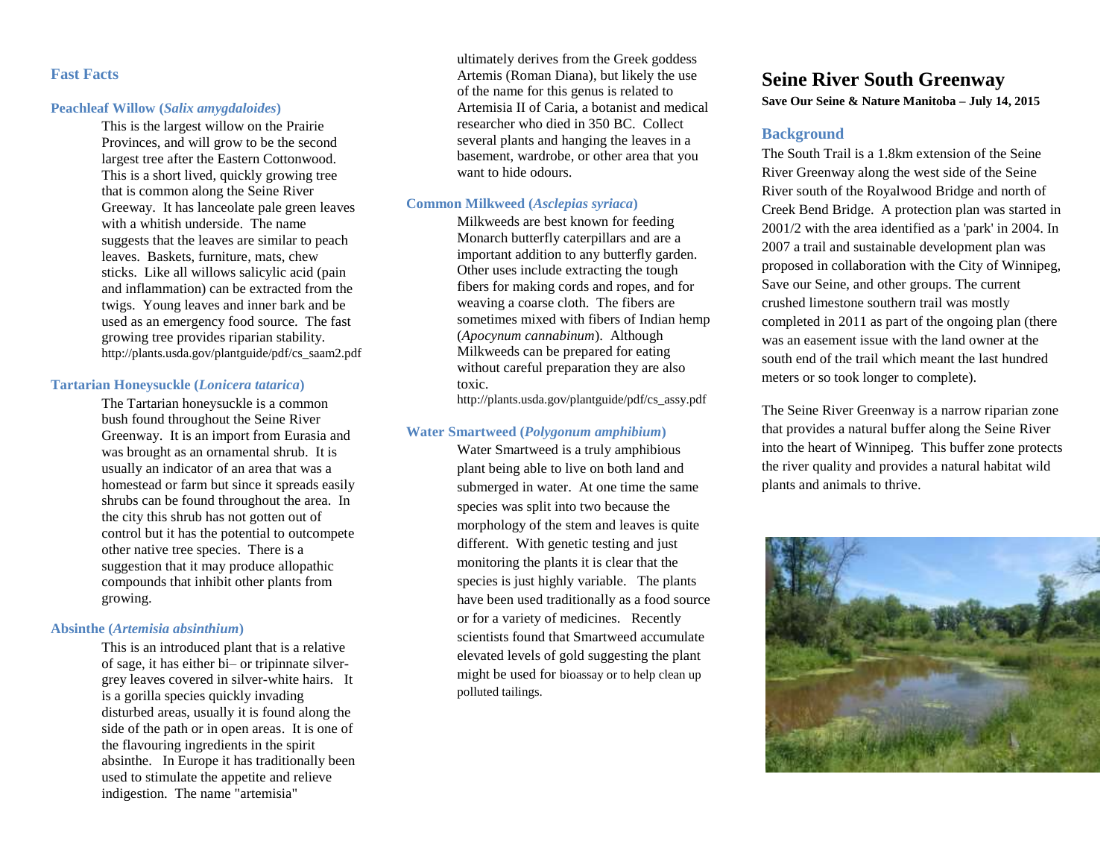## **Fast Facts**

#### **Peachleaf Willow (***Salix amygdaloides***)**

This is the largest willow on the Prairie Provinces, and will grow to be the second largest tree after the Eastern Cottonwood. This is a short lived, quickly growing tree that is common along the Seine River Greeway. It has lanceolate pale green leaves with a whitish underside. The name suggests that the leaves are similar to peach leaves. Baskets, furniture, mats, chew sticks. Like all willows salicylic acid (pain and inflammation) can be extracted from the twigs. Young leaves and inner bark and be used as an emergency food source. The fast growing tree provides riparian stability. http://plants.usda.gov/plantguide/pdf/cs\_saam2.pdf

#### **Tartarian Honeysuckle (***Lonicera tatarica***)**

The Tartarian honeysuckle is a common bush found throughout the Seine River Greenway. It is an import from Eurasia and was brought as an ornamental shrub. It is usually an indicator of an area that was a homestead or farm but since it spreads easily shrubs can be found throughout the area. In the city this shrub has not gotten out of control but it has the potential to outcompete other native tree species. There is a suggestion that it may produce allopathic compounds that inhibit other plants from growing.

#### **Absinthe (***Artemisia absinthium***)**

This is an introduced plant that is a relative of sage, it has either bi– or tripinnate silvergrey leaves covered in silver-white hairs. It is a gorilla species quickly invading disturbed areas, usually it is found along the side of the path or in open areas. It is one of the flavouring ingredients in the spirit absinthe. In Europe it has traditionally been used to stimulate the appetite and relieve indigestion. The name "artemisia"

ultimately derives from the Greek goddess Artemis (Roman Diana), but likely the use of the name for this genus is related to Artemisia II of Caria, a botanist and medical researcher who died in 350 BC. Collect several plants and hanging the leaves in a basement, wardrobe, or other area that you want to hide odours.

#### **Common Milkweed (***Asclepias syriaca***)**

Milkweeds are best known for feeding Monarch butterfly caterpillars and are a important addition to any butterfly garden. Other uses include extracting the tough fibers for making cords and ropes, and for weaving a coarse cloth. The fibers are sometimes mixed with fibers of Indian hemp (*Apocynum cannabinum*). Although Milkweeds can be prepared for eating without careful preparation they are also toxic.

http://plants.usda.gov/plantguide/pdf/cs\_assy.pdf

### **Water Smartweed (***Polygonum amphibium***)**

Water Smartweed is a truly amphibious plant being able to live on both land and submerged in water. At one time the same species was split into two because the morphology of the stem and leaves is quite different. With genetic testing and just monitoring the plants it is clear that the species is just highly variable. The plants have been used traditionally as a food source or for a variety of medicines. Recently scientists found that Smartweed accumulate elevated levels of gold suggesting the plant might be used for bioassay or to help clean up polluted tailings.

# **Seine River South Greenway**

**Save Our Seine & Nature Manitoba – July 14, 2015**

### **Background**

The South Trail is a 1.8km extension of the Seine River Greenway along the west side of the Seine River south of the Royalwood Bridge and north of Creek Bend Bridge. A protection plan was started in 2001/2 with the area identified as a 'park' in 2004. In 2007 a trail and sustainable development plan was proposed in collaboration with the City of Winnipeg, Save our Seine, and other groups. The current crushed limestone southern trail was mostly completed in 2011 as part of the ongoing plan (there was an easement issue with the land owner at the south end of the trail which meant the last hundred meters or so took longer to complete).

The Seine River Greenway is a narrow riparian zone that provides a natural buffer along the Seine River into the heart of Winnipeg. This buffer zone protects the river quality and provides a natural habitat wild plants and animals to thrive.

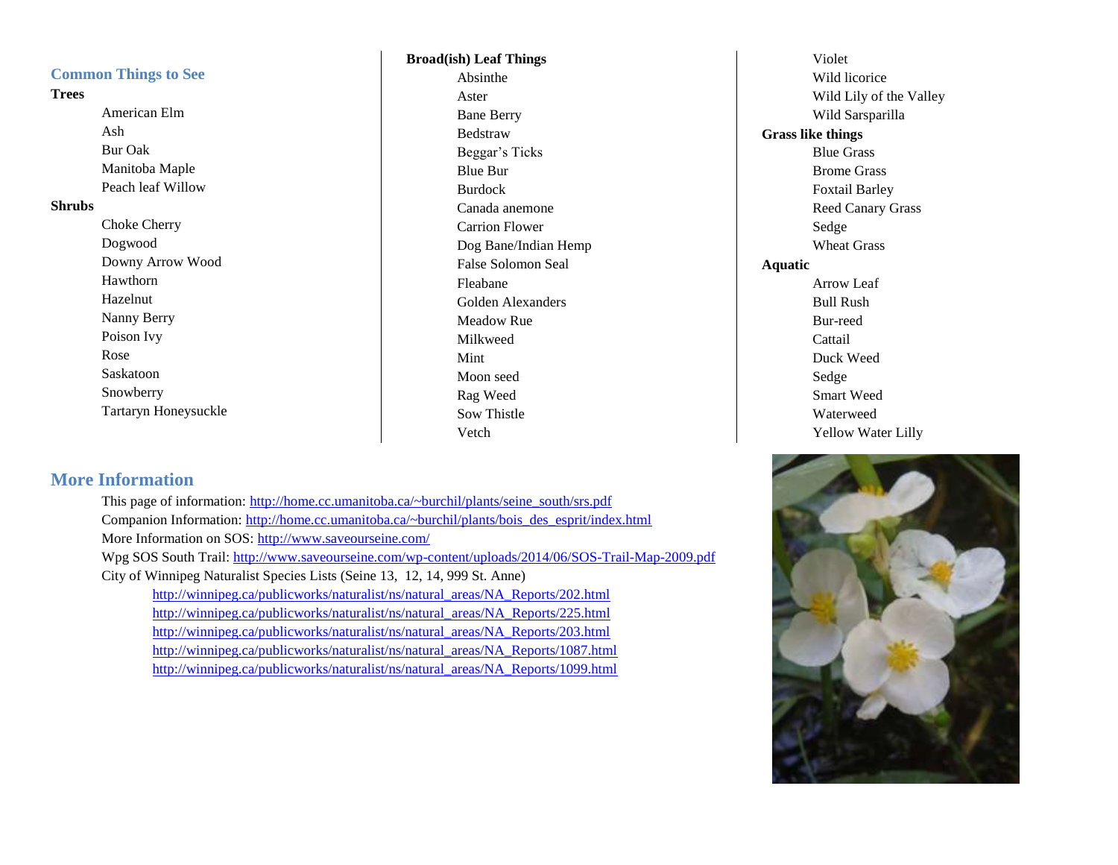## **Common Things to See**

### **Trees**

American Elm Ash Bur Oak Manitoba Maple Peach leaf Willow

### **Shrubs**

Choke Cherry Dogwood Downy Arrow Wood Hawthorn Hazelnut Nanny Berry Poison Ivy Rose Saskatoon Snowberry Tartaryn Honeysuckle

# **Broad(ish) Leaf Things**

Absinthe Aster Bane Berry Bedstraw Beggar's Ticks Blue Bur Burdock Canada anemone Carrion Flower Dog Bane/Indian Hemp False Solomon Seal Fleabane Golden Alexanders Meadow Rue Milkweed Mint Moon seed Rag Weed Sow Thistle Vetch

Violet Wild licorice Wild Lily of the Valley Wild Sarsparilla **Grass like things** Blue Grass Brome Grass Foxtail Barley Reed Canary Grass Sedge Wheat Grass **Aquatic** Arrow Leaf Bull Rush Bur-reed **Cattail** Duck Weed Sedge Smart Weed Waterweed Yellow Water Lilly

## **More Information**

This page of information: [http://home.cc.umanitoba.ca/~burchil/plants/seine\\_south/srs.pdf](http://home.cc.umanitoba.ca/~burchil/plants/seine_south/srs.pdf) Companion Information: [http://home.cc.umanitoba.ca/~burchil/plants/bois\\_des\\_esprit/index.html](http://home.cc.umanitoba.ca/~burchil/plants/bois_des_esprit/index.html) More Information on SOS:<http://www.saveourseine.com/> Wpg SOS South Trail:<http://www.saveourseine.com/wp-content/uploads/2014/06/SOS-Trail-Map-2009.pdf> City of Winnipeg Naturalist Species Lists (Seine 13, 12, 14, 999 St. Anne) [http://winnipeg.ca/publicworks/naturalist/ns/natural\\_areas/NA\\_Reports/202.html](http://winnipeg.ca/publicworks/naturalist/ns/natural_areas/NA_Reports/202.html) [http://winnipeg.ca/publicworks/naturalist/ns/natural\\_areas/NA\\_Reports/225.html](http://winnipeg.ca/publicworks/naturalist/ns/natural_areas/NA_Reports/225.html) [http://winnipeg.ca/publicworks/naturalist/ns/natural\\_areas/NA\\_Reports/203.html](http://winnipeg.ca/publicworks/naturalist/ns/natural_areas/NA_Reports/203.html) [http://winnipeg.ca/publicworks/naturalist/ns/natural\\_areas/NA\\_Reports/1087.html](http://winnipeg.ca/publicworks/naturalist/ns/natural_areas/NA_Reports/1087.html) [http://winnipeg.ca/publicworks/naturalist/ns/natural\\_areas/NA\\_Reports/1099.html](http://winnipeg.ca/publicworks/naturalist/ns/natural_areas/NA_Reports/1099.html)

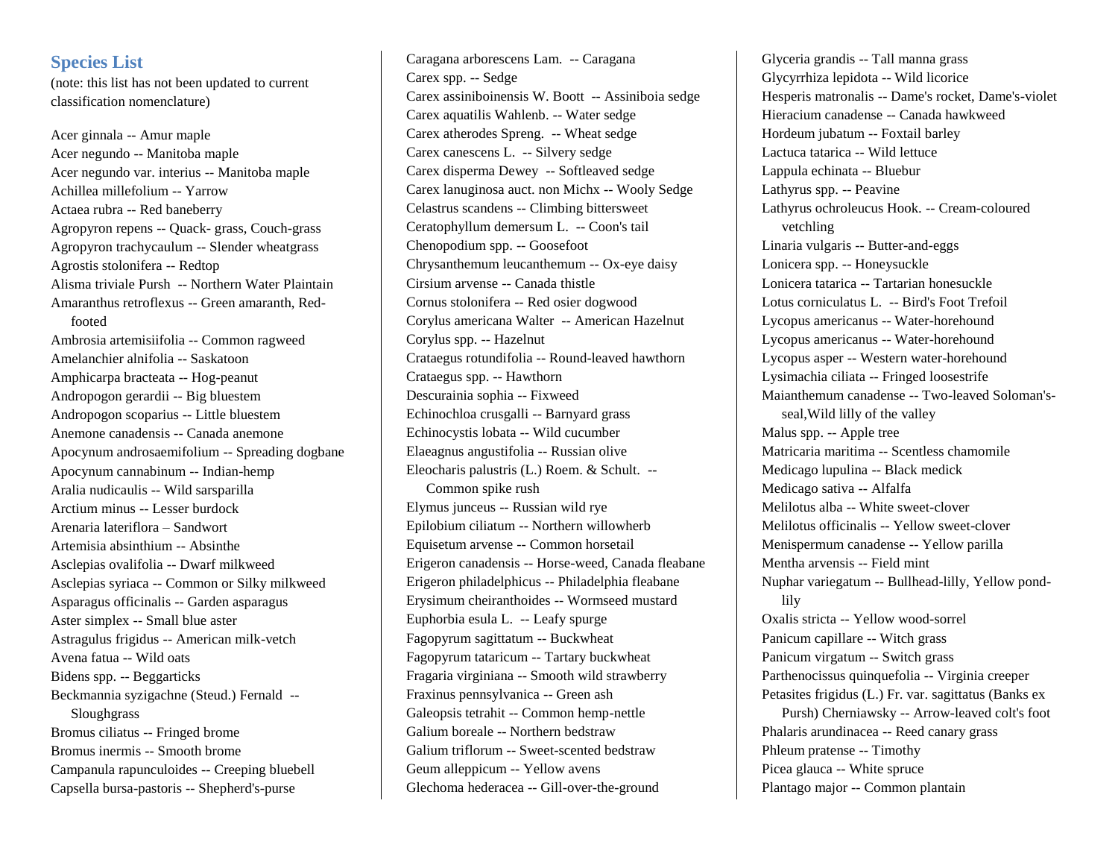## **Species List**

(note: this list has not been updated to current classification nomenclature)

Acer ginnala -- Amur maple Acer negundo -- Manitoba maple Acer negundo var. interius -- Manitoba maple Achillea millefolium -- Yarrow Actaea rubra -- Red baneberry Agropyron repens -- Quack- grass, Couch-grass Agropyron trachycaulum -- Slender wheatgrass Agrostis stolonifera -- Redtop Alisma triviale Pursh -- Northern Water Plaintain Amaranthus retroflexus -- Green amaranth, Redfooted Ambrosia artemisiifolia -- Common ragweed Amelanchier alnifolia -- Saskatoon Amphicarpa bracteata -- Hog-peanut Andropogon gerardii -- Big bluestem Andropogon scoparius -- Little bluestem Anemone canadensis -- Canada anemone Apocynum androsaemifolium -- Spreading dogbane Apocynum cannabinum -- Indian-hemp Aralia nudicaulis -- Wild sarsparilla Arctium minus -- Lesser burdock Arenaria lateriflora – Sandwort Artemisia absinthium -- Absinthe Asclepias ovalifolia -- Dwarf milkweed Asclepias syriaca -- Common or Silky milkweed Asparagus officinalis -- Garden asparagus Aster simplex -- Small blue aster Astragulus frigidus -- American milk-vetch Avena fatua -- Wild oats Bidens spp. -- Beggarticks Beckmannia syzigachne (Steud.) Fernald -- Sloughgrass Bromus ciliatus -- Fringed brome Bromus inermis -- Smooth brome Campanula rapunculoides -- Creeping bluebell Capsella bursa-pastoris -- Shepherd's-purse

Caragana arborescens Lam. -- Caragana Carex spp. -- Sedge Carex assiniboinensis W. Boott -- Assiniboia sedge Carex aquatilis Wahlenb. -- Water sedge Carex atherodes Spreng. -- Wheat sedge Carex canescens L. -- Silvery sedge Carex disperma Dewey -- Softleaved sedge Carex lanuginosa auct. non Michx -- Wooly Sedge Celastrus scandens -- Climbing bittersweet Ceratophyllum demersum L. -- Coon's tail Chenopodium spp. -- Goosefoot Chrysanthemum leucanthemum -- Ox-eye daisy Cirsium arvense -- Canada thistle Cornus stolonifera -- Red osier dogwood Corylus americana Walter -- American Hazelnut Corylus spp. -- Hazelnut Crataegus rotundifolia -- Round-leaved hawthorn Crataegus spp. -- Hawthorn Descurainia sophia -- Fixweed Echinochloa crusgalli -- Barnyard grass Echinocystis lobata -- Wild cucumber Elaeagnus angustifolia -- Russian olive Eleocharis palustris (L.) Roem. & Schult. -- Common spike rush Elymus junceus -- Russian wild rye Epilobium ciliatum -- Northern willowherb Equisetum arvense -- Common horsetail Erigeron canadensis -- Horse-weed, Canada fleabane Erigeron philadelphicus -- Philadelphia fleabane Erysimum cheiranthoides -- Wormseed mustard Euphorbia esula L. -- Leafy spurge Fagopyrum sagittatum -- Buckwheat Fagopyrum tataricum -- Tartary buckwheat Fragaria virginiana -- Smooth wild strawberry Fraxinus pennsylvanica -- Green ash Galeopsis tetrahit -- Common hemp-nettle Galium boreale -- Northern bedstraw Galium triflorum -- Sweet-scented bedstraw Geum alleppicum -- Yellow avens Glechoma hederacea -- Gill-over-the-ground

Glyceria grandis -- Tall manna grass Glycyrrhiza lepidota -- Wild licorice Hesperis matronalis -- Dame's rocket, Dame's-violet Hieracium canadense -- Canada hawkweed Hordeum jubatum -- Foxtail barley Lactuca tatarica -- Wild lettuce Lappula echinata -- Bluebur Lathyrus spp. -- Peavine Lathyrus ochroleucus Hook. -- Cream-coloured vetchling Linaria vulgaris -- Butter-and-eggs Lonicera spp. -- Honeysuckle Lonicera tatarica -- Tartarian honesuckle Lotus corniculatus L. -- Bird's Foot Trefoil Lycopus americanus -- Water-horehound Lycopus americanus -- Water-horehound Lycopus asper -- Western water-horehound Lysimachia ciliata -- Fringed loosestrife Maianthemum canadense -- Two-leaved Soloman'sseal,Wild lilly of the valley Malus spp. -- Apple tree Matricaria maritima -- Scentless chamomile Medicago lupulina -- Black medick Medicago sativa -- Alfalfa Melilotus alba -- White sweet-clover Melilotus officinalis -- Yellow sweet-clover Menispermum canadense -- Yellow parilla Mentha arvensis -- Field mint Nuphar variegatum -- Bullhead-lilly, Yellow pondlily Oxalis stricta -- Yellow wood-sorrel Panicum capillare -- Witch grass Panicum virgatum -- Switch grass Parthenocissus quinquefolia -- Virginia creeper Petasites frigidus (L.) Fr. var. sagittatus (Banks ex Pursh) Cherniawsky -- Arrow-leaved colt's foot Phalaris arundinacea -- Reed canary grass Phleum pratense -- Timothy Picea glauca -- White spruce Plantago major -- Common plantain